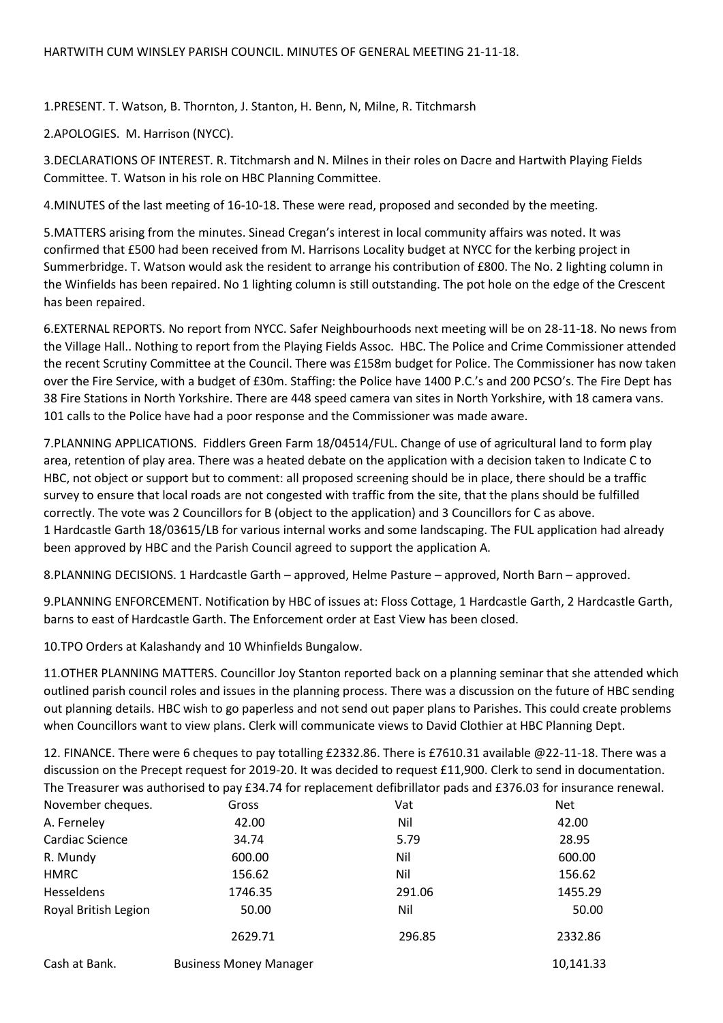1.PRESENT. T. Watson, B. Thornton, J. Stanton, H. Benn, N, Milne, R. Titchmarsh

2.APOLOGIES. M. Harrison (NYCC).

3.DECLARATIONS OF INTEREST. R. Titchmarsh and N. Milnes in their roles on Dacre and Hartwith Playing Fields Committee. T. Watson in his role on HBC Planning Committee.

4.MINUTES of the last meeting of 16-10-18. These were read, proposed and seconded by the meeting.

5.MATTERS arising from the minutes. Sinead Cregan's interest in local community affairs was noted. It was confirmed that £500 had been received from M. Harrisons Locality budget at NYCC for the kerbing project in Summerbridge. T. Watson would ask the resident to arrange his contribution of £800. The No. 2 lighting column in the Winfields has been repaired. No 1 lighting column is still outstanding. The pot hole on the edge of the Crescent has been repaired.

6.EXTERNAL REPORTS. No report from NYCC. Safer Neighbourhoods next meeting will be on 28-11-18. No news from the Village Hall.. Nothing to report from the Playing Fields Assoc. HBC. The Police and Crime Commissioner attended the recent Scrutiny Committee at the Council. There was £158m budget for Police. The Commissioner has now taken over the Fire Service, with a budget of £30m. Staffing: the Police have 1400 P.C.'s and 200 PCSO's. The Fire Dept has 38 Fire Stations in North Yorkshire. There are 448 speed camera van sites in North Yorkshire, with 18 camera vans. 101 calls to the Police have had a poor response and the Commissioner was made aware.

7.PLANNING APPLICATIONS. Fiddlers Green Farm 18/04514/FUL. Change of use of agricultural land to form play area, retention of play area. There was a heated debate on the application with a decision taken to Indicate C to HBC, not object or support but to comment: all proposed screening should be in place, there should be a traffic survey to ensure that local roads are not congested with traffic from the site, that the plans should be fulfilled correctly. The vote was 2 Councillors for B (object to the application) and 3 Councillors for C as above. 1 Hardcastle Garth 18/03615/LB for various internal works and some landscaping. The FUL application had already been approved by HBC and the Parish Council agreed to support the application A.

8.PLANNING DECISIONS. 1 Hardcastle Garth – approved, Helme Pasture – approved, North Barn – approved.

9.PLANNING ENFORCEMENT. Notification by HBC of issues at: Floss Cottage, 1 Hardcastle Garth, 2 Hardcastle Garth, barns to east of Hardcastle Garth. The Enforcement order at East View has been closed.

10.TPO Orders at Kalashandy and 10 Whinfields Bungalow.

11.OTHER PLANNING MATTERS. Councillor Joy Stanton reported back on a planning seminar that she attended which outlined parish council roles and issues in the planning process. There was a discussion on the future of HBC sending out planning details. HBC wish to go paperless and not send out paper plans to Parishes. This could create problems when Councillors want to view plans. Clerk will communicate views to David Clothier at HBC Planning Dept.

12. FINANCE. There were 6 cheques to pay totalling £2332.86. There is £7610.31 available @22-11-18. There was a discussion on the Precept request for 2019-20. It was decided to request £11,900. Clerk to send in documentation. The Treasurer was authorised to pay £34.74 for replacement defibrillator pads and £376.03 for insurance renewal.

| November cheques.    | Gross                         | Vat    | <b>Net</b> |
|----------------------|-------------------------------|--------|------------|
| A. Ferneley          | 42.00                         | Nil    | 42.00      |
| Cardiac Science      | 34.74                         | 5.79   | 28.95      |
| R. Mundy             | 600.00                        | Nil    | 600.00     |
| <b>HMRC</b>          | 156.62                        | Nil    | 156.62     |
| Hesseldens           | 1746.35                       | 291.06 | 1455.29    |
| Royal British Legion | 50.00                         | Nil    | 50.00      |
|                      | 2629.71                       | 296.85 | 2332.86    |
| Cash at Bank.        | <b>Business Money Manager</b> |        | 10,141.33  |